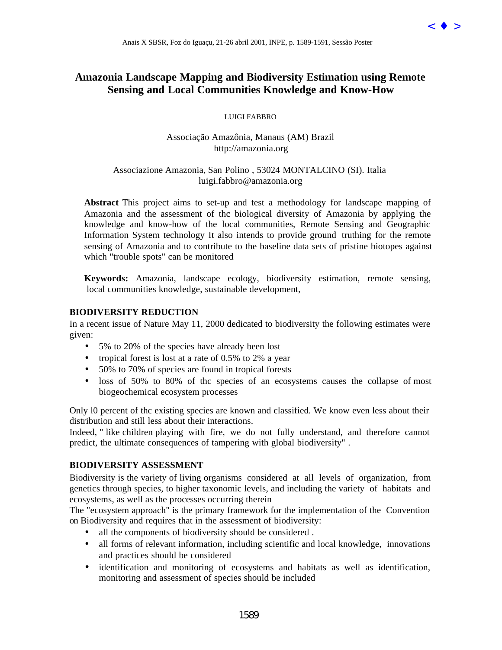

# **Amazonia Landscape Mapping and Biodiversity Estimation using Remote Sensing and Local Communities Knowledge and Know-How**

LUIGI FABBRO

Associação Amazônia, Manaus (AM) Brazil http://amazonia.org

# Associazione Amazonia, San Polino , 53024 MONTALCINO (SI). Italia luigi.fabbro@amazonia.org

**Abstract** This project aims to set-up and test a methodology for landscape mapping of Amazonia and the assessment of thc biological diversity of Amazonia by applying the knowledge and know-how of the local communities, Remote Sensing and Geographic Information System technology It also intends to provide ground truthing for the remote sensing of Amazonia and to contribute to the baseline data sets of pristine biotopes against which "trouble spots" can be monitored Anais X SBSR, Foz do Iguaçu, 21-26 abril 2001, INPE, a 1589-1591, Sessão Poster Valente Estinadas Internacional Microsofte and Microsofte and Microsofte American Contents (LOD). Turning Remote the contents of the microsof

**Keywords:** Amazonia, landscape ecology, biodiversity estimation, remote sensing, local communities knowledge, sustainable development,

## **BIODIVERSITY REDUCTION**

In a recent issue of Nature May 11, 2000 dedicated to biodiversity the following estimates were given:

- 5% to 20% of the species have already been lost
- tropical forest is lost at a rate of 0.5% to 2% a year
- 50% to 70% of species are found in tropical forests
- loss of 50% to 80% of the species of an ecosystems causes the collapse of most biogeochemical ecosystem processes

Only l0 percent of thc existing species are known and classified. We know even less about their distribution and still less about their interactions.

Indeed, " like children playing with fire, we do not fully understand, and therefore cannot predict, the ultimate consequences of tampering with global biodiversity" .

# **BIODIVERSITY ASSESSMENT**

Biodiversity is the variety of living organisms considered at all levels of organization, from genetics through species, to higher taxonomic levels, and including the variety of habitats and ecosystems, as well as the processes occurring therein

The "ecosystem approach" is the primary framework for the implementation of the Convention on Biodiversity and requires that in the assessment of biodiversity:

- all the components of biodiversity should be considered.
- all forms of relevant information, including scientific and local knowledge, innovations and practices should be considered
- identification and monitoring of ecosystems and habitats as well as identification, monitoring and assessment of species should be included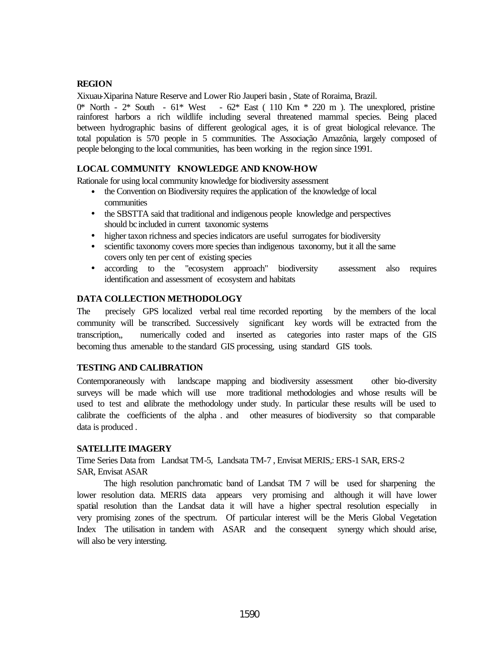# **REGION**

Xixuau-Xiparina Nature Reserve and Lower Rio Jauperi basin , State of Roraima, Brazil.

 $0^*$  North -  $2^*$  South -  $61^*$  West -  $62^*$  East (110 Km  $*$  220 m). The unexplored, pristine rainforest harbors a rich wildlife including several threatened mammal species. Being placed between hydrographic basins of different geological ages, it is of great biological relevance. The total population is 570 people in 5 communities. The Associação Amazônia, largely composed of people belonging to the local communities, has been working in the region since 1991.

## **LOCAL COMMUNITY KNOWLEDGE AND KNOW-HOW**

Rationale for using local community knowledge for biodiversity assessment

- the Convention on Biodiversity requires the application of the knowledge of local communities
- the SBSTTA said that traditional and indigenous people knowledge and perspectives should bc included in current taxonomic systems
- higher taxon richness and species indicators are useful surrogates for biodiversity
- scientific taxonomy covers more species than indigenous taxonomy, but it all the same covers only ten per cent of existing species
- according to the "ecosystem approach" biodiversity assessment also requires identification and assessment of ecosystem and habitats

### **DATA COLLECTION METHODOLOGY**

The precisely GPS localized verbal real time recorded reporting by the members of the local community will be transcribed. Successively significant key words will be extracted from the transcription,, numerically coded and inserted as categories into raster maps of the GIS becoming thus amenable to the standard GIS processing, using standard GIS tools.

### **TESTING AND CALIBRATION**

Contemporaneously with landscape mapping and biodiversity assessment other bio-diversity surveys will be made which will use more traditional methodologies and whose results will be used to test and calibrate the methodology under study. In particular these results will be used to calibrate the coefficients of the alpha . and other measures of biodiversity so that comparable data is produced .

### **SATELLITE IMAGERY**

Time Series Data from Landsat TM-5, Landsata TM-7 , Envisat MERIS,: ERS-1 SAR, ERS-2 SAR, Envisat ASAR

The high resolution panchromatic band of Landsat TM 7 will be used for sharpening the lower resolution data. MERIS data appears very promising and although it will have lower spatial resolution than the Landsat data it will have a higher spectral resolution especially in very promising zones of the spectrum. Of particular interest will be the Meris Global Vegetation Index The utilisation in tandem with ASAR and the consequent synergy which should arise, will also be very intersting.